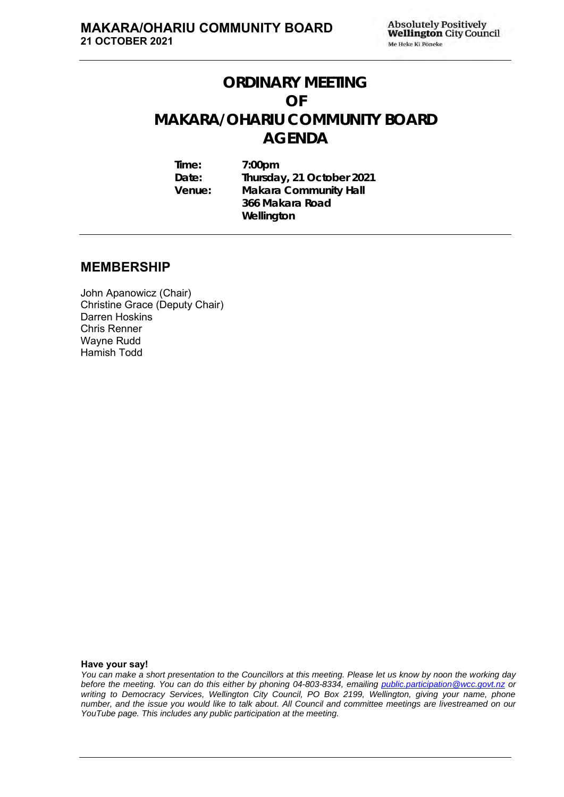# **ORDINARY MEETING OF MAKARA/OHARIU COMMUNITY BOARD AGENDA**

**Time: 7:00pm Date: Thursday, 21 October 2021 Venue: Makara Community Hall 366 Makara Road Wellington**

# **MEMBERSHIP**

John Apanowicz (Chair) Christine Grace (Deputy Chair) Darren Hoskins Chris Renner Wayne Rudd Hamish Todd

**Have your say!**

*You can make a short presentation to the Councillors at this meeting. Please let us know by noon the working day before the meeting. You can do this either by phoning 04-803-8334, emailing public.participation@wcc.govt.nz or writing to Democracy Services, Wellington City Council, PO Box 2199, Wellington, giving your name, phone number, and the issue you would like to talk about. All Council and committee meetings are livestreamed on our YouTube page. This includes any public participation at the meeting.*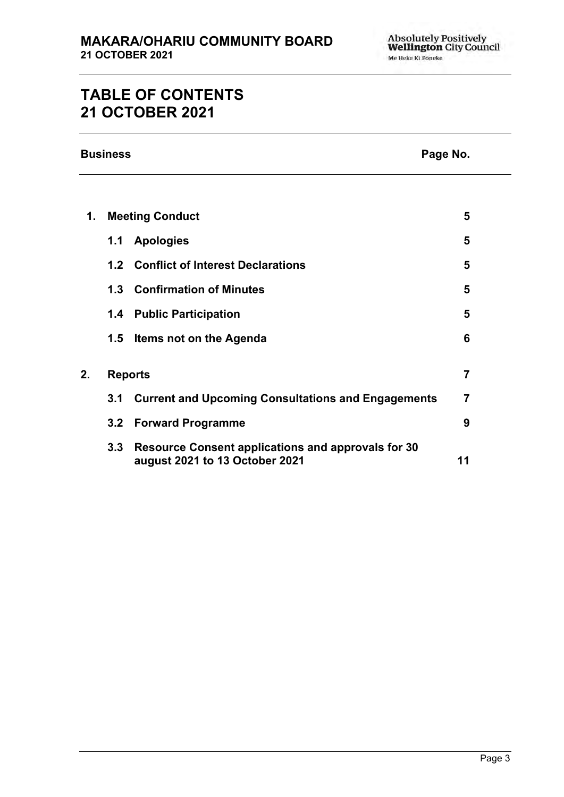# **TABLE OF CONTENTS 21 OCTOBER 2021**

|    | <b>Business</b><br>Page No. |                                                                                             |    |
|----|-----------------------------|---------------------------------------------------------------------------------------------|----|
|    |                             |                                                                                             |    |
| 1. |                             | <b>Meeting Conduct</b>                                                                      | 5  |
|    | 1.1                         | <b>Apologies</b>                                                                            | 5  |
|    |                             | 1.2 Conflict of Interest Declarations                                                       | 5  |
|    | 1.3                         | <b>Confirmation of Minutes</b>                                                              | 5  |
|    | 1.4                         | <b>Public Participation</b>                                                                 | 5  |
|    | 1.5                         | Items not on the Agenda                                                                     | 6  |
| 2. |                             | <b>Reports</b>                                                                              | 7  |
|    | 3.1                         | <b>Current and Upcoming Consultations and Engagements</b>                                   | 7  |
|    | 3.2 <sub>2</sub>            | <b>Forward Programme</b>                                                                    | 9  |
|    | 3.3                         | <b>Resource Consent applications and approvals for 30</b><br>august 2021 to 13 October 2021 | 11 |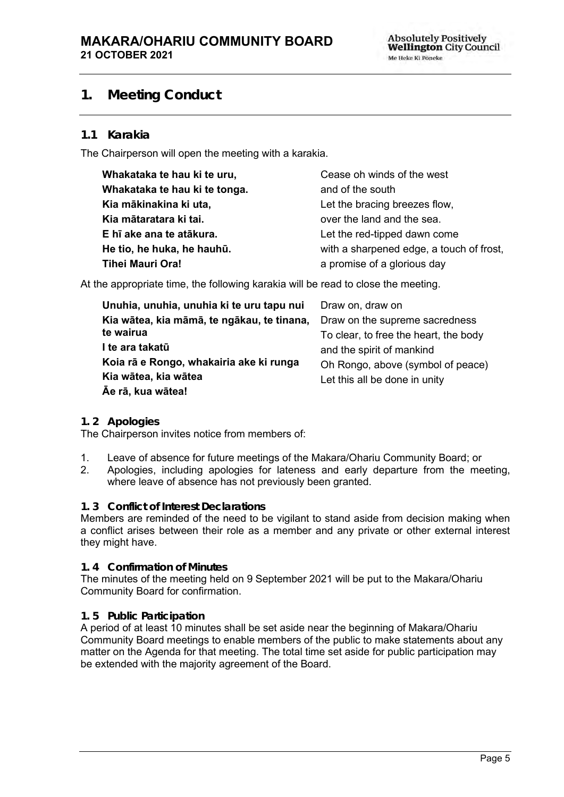# <span id="page-4-0"></span>**1. Meeting Conduct**

## **1.1 Karakia**

The Chairperson will open the meeting with a karakia.

| Whakataka te hau ki te uru,   | Cease oh winds of the west               |
|-------------------------------|------------------------------------------|
| Whakataka te hau ki te tonga. | and of the south                         |
| Kia mākinakina ki uta,        | Let the bracing breezes flow,            |
| Kia mātaratara ki tai.        | over the land and the sea.               |
| E hī ake ana te atākura.      | Let the red-tipped dawn come             |
| He tio, he huka, he hauhū.    | with a sharpened edge, a touch of frost, |
| Tihei Mauri Ora!              | a promise of a glorious day              |

At the appropriate time, the following karakia will be read to close the meeting.

| Unuhia, unuhia, unuhia ki te uru tapu nui  | Draw on, draw on                      |
|--------------------------------------------|---------------------------------------|
| Kia wātea, kia māmā, te ngākau, te tinana, | Draw on the supreme sacredness        |
| te wairua                                  | To clear, to free the heart, the body |
| I te ara takatū                            | and the spirit of mankind             |
| Koia rā e Rongo, whakairia ake ki runga    | Oh Rongo, above (symbol of peace)     |
| Kia wātea, kia wātea                       | Let this all be done in unity         |
| Āe rā, kua wātea!                          |                                       |

#### <span id="page-4-1"></span>**1. 2 Apologies**

The Chairperson invites notice from members of:

- 1. Leave of absence for future meetings of the Makara/Ohariu Community Board; or
- 2. Apologies, including apologies for lateness and early departure from the meeting, where leave of absence has not previously been granted.

#### <span id="page-4-2"></span>**1. 3 Conflict of Interest Declarations**

Members are reminded of the need to be vigilant to stand aside from decision making when a conflict arises between their role as a member and any private or other external interest they might have.

#### <span id="page-4-3"></span>**1. 4 Confirmation of Minutes**

The minutes of the meeting held on 9 September 2021 will be put to the Makara/Ohariu Community Board for confirmation.

#### <span id="page-4-4"></span>**1. 5 Public Participation**

<span id="page-4-5"></span>A period of at least 10 minutes shall be set aside near the beginning of Makara/Ohariu Community Board meetings to enable members of the public to make statements about any matter on the Agenda for that meeting. The total time set aside for public participation may be extended with the majority agreement of the Board.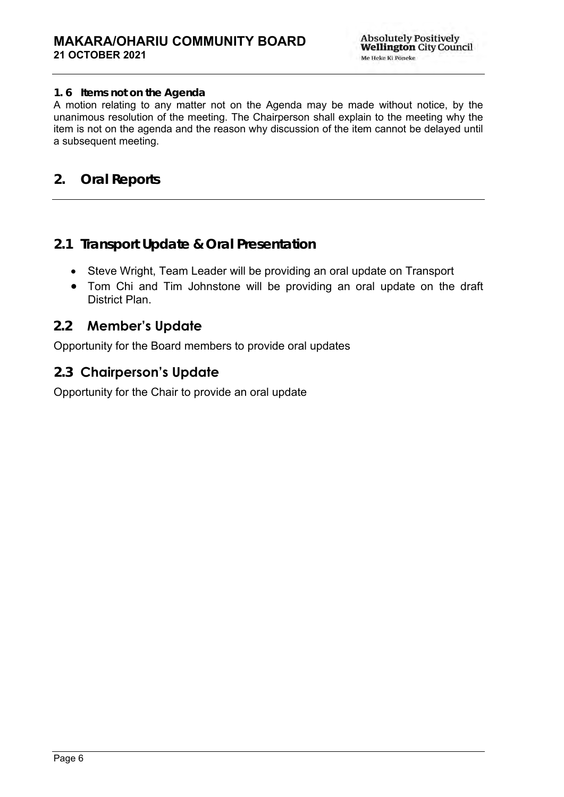## **1. 6 Items not on the Agenda**

A motion relating to any matter not on the Agenda may be made without notice, by the unanimous resolution of the meeting. The Chairperson shall explain to the meeting why the item is not on the agenda and the reason why discussion of the item cannot be delayed until a subsequent meeting.

# **2. Oral Reports**

# **2.1 Transport Update & Oral Presentation**

- Steve Wright, Team Leader will be providing an oral update on Transport
- Tom Chi and Tim Johnstone will be providing an oral update on the draft District Plan.

# **2.2 Member's Update**

Opportunity for the Board members to provide oral updates

# **2.3 Chairperson's Update**

Opportunity for the Chair to provide an oral update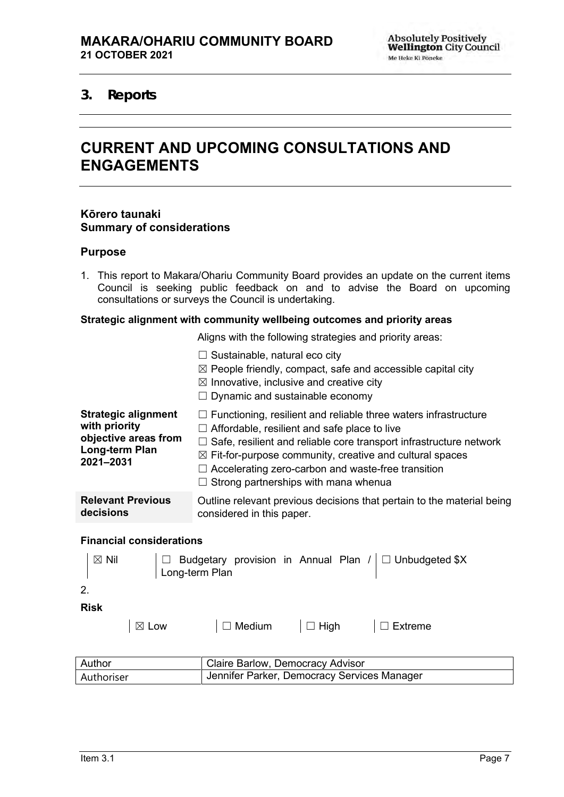# <span id="page-6-1"></span><span id="page-6-0"></span>**3. Reports**

# **CURRENT AND UPCOMING CONSULTATIONS AND ENGAGEMENTS**

#### **Kōrero taunaki Summary of considerations**

#### **Purpose**

1. This report to Makara/Ohariu Community Board provides an update on the current items Council is seeking public feedback on and to advise the Board on upcoming consultations or surveys the Council is undertaking.

#### **Strategic alignment with community wellbeing outcomes and priority areas**

Aligns with the following strategies and priority areas:

|                                                                                                    | $\Box$ Sustainable, natural eco city<br>$\boxtimes$ People friendly, compact, safe and accessible capital city<br>$\boxtimes$ Innovative, inclusive and creative city<br>Dynamic and sustainable economy                                                                                                                                                          |  |  |
|----------------------------------------------------------------------------------------------------|-------------------------------------------------------------------------------------------------------------------------------------------------------------------------------------------------------------------------------------------------------------------------------------------------------------------------------------------------------------------|--|--|
| <b>Strategic alignment</b><br>with priority<br>objective areas from<br>Long-term Plan<br>2021-2031 | $\Box$ Functioning, resilient and reliable three waters infrastructure<br>Affordable, resilient and safe place to live<br>Safe, resilient and reliable core transport infrastructure network<br>$\boxtimes$ Fit-for-purpose community, creative and cultural spaces<br>Accelerating zero-carbon and waste-free transition<br>Strong partnerships with mana whenua |  |  |
| <b>Relevant Previous</b><br>decisions                                                              | Outline relevant previous decisions that pertain to the material being<br>considered in this paper.                                                                                                                                                                                                                                                               |  |  |
| <b>Financial considerations</b>                                                                    |                                                                                                                                                                                                                                                                                                                                                                   |  |  |
| $\boxtimes$ Nil<br>2.                                                                              | Budgetary provision in Annual Plan $/$ $\Box$ Unbudgeted \$X<br>Long-term Plan                                                                                                                                                                                                                                                                                    |  |  |
| <b>Risk</b>                                                                                        |                                                                                                                                                                                                                                                                                                                                                                   |  |  |
| $\boxtimes$ Low                                                                                    | $\Box$ Medium<br>$\Box$ High<br><b>Extreme</b>                                                                                                                                                                                                                                                                                                                    |  |  |
| Author                                                                                             | Claire Barlow, Democracy Advisor                                                                                                                                                                                                                                                                                                                                  |  |  |
| Authoriser                                                                                         | Jennifer Parker, Democracy Services Manager                                                                                                                                                                                                                                                                                                                       |  |  |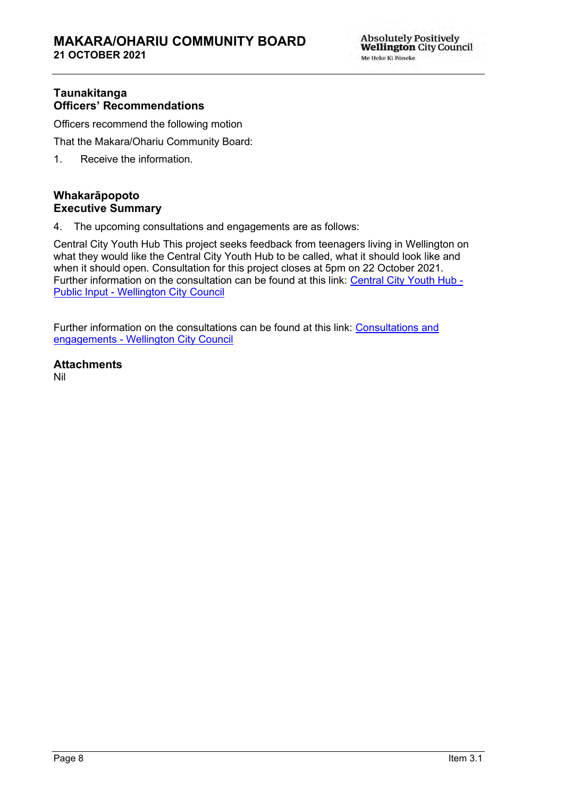## **Taunakitanga Officers' Recommendations**

Officers recommend the following motion

That the Makara/Ohariu Community Board:

1. Receive the information.

# **Whakarāpopoto Executive Summary**

4. The upcoming consultations and engagements are as follows:

Central City Youth Hub This project seeks feedback from teenagers living in Wellington on what they would like the Central City Youth Hub to be called, what it should look like and when it should open. Consultation for this project closes at 5pm on 22 October 2021. Further information on the consultation can be found at this link: [Central City Youth Hub -](https://wellington.govt.nz/have-your-say/public-inputs/feedback/open/central-city-youth-hub) Public Input - [Wellington City Council](https://wellington.govt.nz/have-your-say/public-inputs/feedback/open/central-city-youth-hub)

Further information on the consultations can be found at this link: [Consultations and](https://wellington.govt.nz/have-your-say/consultations)  engagements - [Wellington City Council](https://wellington.govt.nz/have-your-say/consultations)

**Attachments** Nil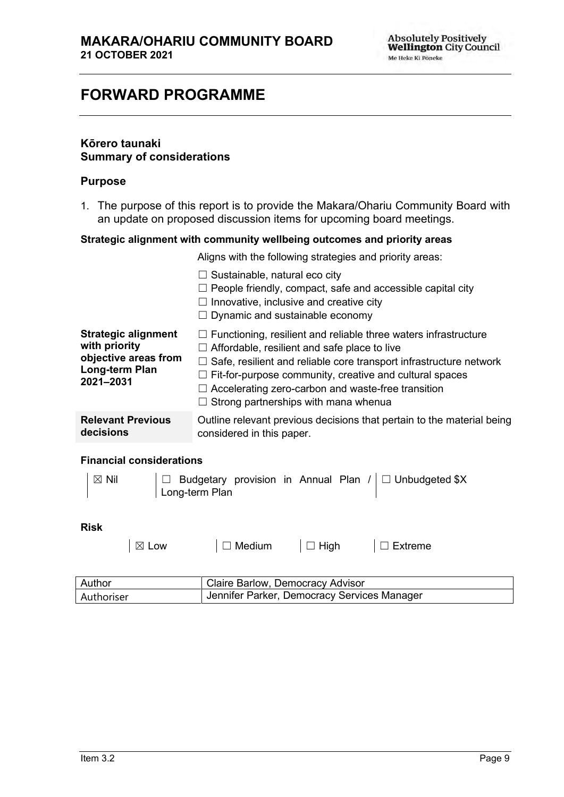# <span id="page-8-0"></span>**FORWARD PROGRAMME**

## **Kōrero taunaki Summary of considerations**

#### **Purpose**

1. The purpose of this report is to provide the Makara/Ohariu Community Board with an update on proposed discussion items for upcoming board meetings.

#### **Strategic alignment with community wellbeing outcomes and priority areas**

Aligns with the following strategies and priority areas:

|                                                                                                    | $\Box$ Sustainable, natural eco city<br>$\Box$ People friendly, compact, safe and accessible capital city<br>$\Box$ Innovative, inclusive and creative city<br>$\Box$ Dynamic and sustainable economy                                                                                                                                                                                    |
|----------------------------------------------------------------------------------------------------|------------------------------------------------------------------------------------------------------------------------------------------------------------------------------------------------------------------------------------------------------------------------------------------------------------------------------------------------------------------------------------------|
| <b>Strategic alignment</b><br>with priority<br>objective areas from<br>Long-term Plan<br>2021-2031 | $\Box$ Functioning, resilient and reliable three waters infrastructure<br>$\Box$ Affordable, resilient and safe place to live<br>$\Box$ Safe, resilient and reliable core transport infrastructure network<br>$\Box$ Fit-for-purpose community, creative and cultural spaces<br>$\Box$ Accelerating zero-carbon and waste-free transition<br>$\Box$ Strong partnerships with mana whenua |
| <b>Relevant Previous</b><br>decisions                                                              | Outline relevant previous decisions that pertain to the material being<br>considered in this paper.                                                                                                                                                                                                                                                                                      |

#### **Financial considerations**

| $ \boxtimes$ Nil | □ Budgetary provision in Annual Plan /   □ Unbudgeted \$X |
|------------------|-----------------------------------------------------------|
|                  | Long-term Plan                                            |
|                  |                                                           |

#### **Risk**

│ ⊠ Low │ □ Medium │ □ High │ □ Extreme

| Author     | Claire Barlow, Democracy Advisor            |
|------------|---------------------------------------------|
| Authoriser | Jennifer Parker, Democracy Services Manager |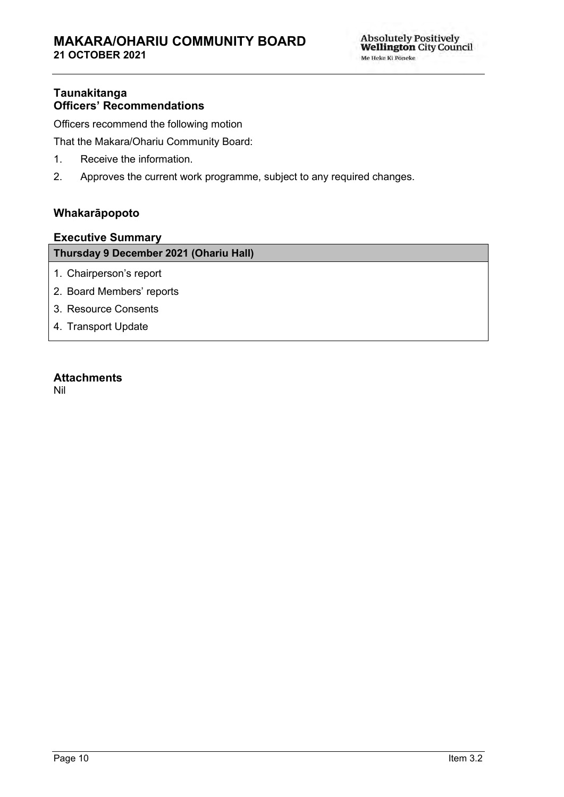# **Taunakitanga Officers' Recommendations**

Officers recommend the following motion

That the Makara/Ohariu Community Board:

- 1. Receive the information.
- 2. Approves the current work programme, subject to any required changes.

## **Whakarāpopoto**

#### **Executive Summary**

## **Thursday 9 December 2021 (Ohariu Hall)**

- 1. Chairperson's report
- 2. Board Members' reports
- 3. Resource Consents
- 4. Transport Update

## **Attachments**

Nil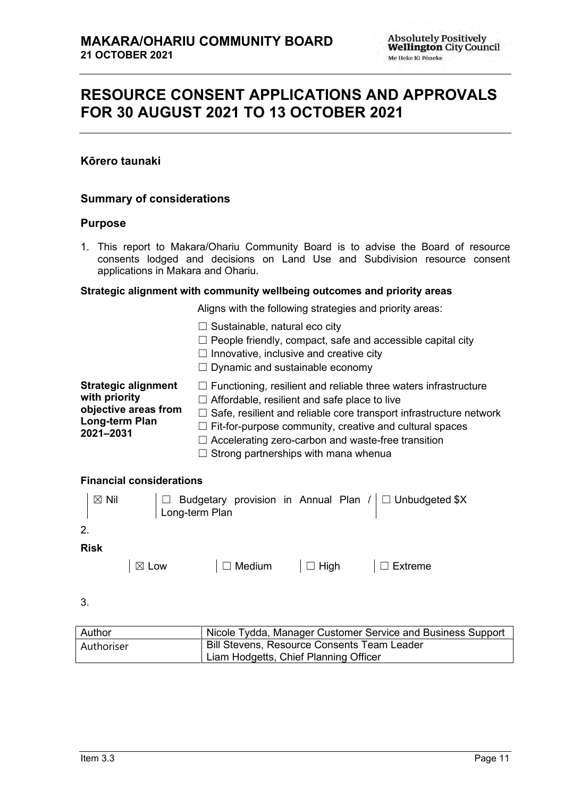# <span id="page-10-0"></span>**RESOURCE CONSENT APPLICATIONS AND APPROVALS FOR 30 AUGUST 2021 TO 13 OCTOBER 2021**

## **Kōrero taunaki**

## **Summary of considerations**

#### **Purpose**

1. This report to Makara/Ohariu Community Board is to advise the Board of resource consents lodged and decisions on Land Use and Subdivision resource consent applications in Makara and Ohariu.

#### **Strategic alignment with community wellbeing outcomes and priority areas**

Aligns with the following strategies and priority areas:

 $\Box$  Sustainable, natural eco city  $\Box$  People friendly, compact, safe and accessible capital city  $\Box$  Innovative, inclusive and creative city ☐ Dynamic and sustainable economy **Strategic alignment with priority objective areas from Long-term Plan 2021–2031**  ☐ Functioning, resilient and reliable three waters infrastructure  $\Box$  Affordable, resilient and safe place to live  $\Box$  Safe, resilient and reliable core transport infrastructure network  $\Box$  Fit-for-purpose community, creative and cultural spaces ☐ Accelerating zero-carbon and waste-free transition  $\Box$  Strong partnerships with mana whenua

#### **Financial considerations**

| $\boxtimes$ Nil |                 |  | □ Budgetary provision in Annual Plan /   □ Unbudgeted \$X<br>  Long-term Plan |
|-----------------|-----------------|--|-------------------------------------------------------------------------------|
| 2.              |                 |  |                                                                               |
| <b>Risk</b>     |                 |  |                                                                               |
|                 | $\boxtimes$ Low |  |                                                                               |

3.

| Author     | Nicole Tydda, Manager Customer Service and Business Support |
|------------|-------------------------------------------------------------|
| Authoriser | <b>Bill Stevens, Resource Consents Team Leader</b>          |
|            | Liam Hodgetts, Chief Planning Officer                       |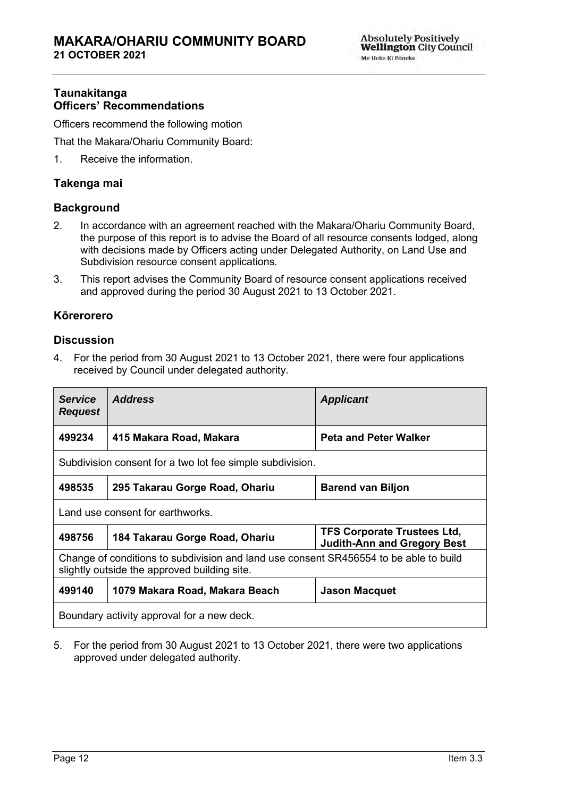## **Taunakitanga Officers' Recommendations**

Officers recommend the following motion

That the Makara/Ohariu Community Board:

1. Receive the information.

#### **Takenga mai**

#### **Background**

- 2. In accordance with an agreement reached with the Makara/Ohariu Community Board, the purpose of this report is to advise the Board of all resource consents lodged, along with decisions made by Officers acting under Delegated Authority, on Land Use and Subdivision resource consent applications.
- 3. This report advises the Community Board of resource consent applications received and approved during the period 30 August 2021 to 13 October 2021.

#### **Kōrerorero**

#### **Discussion**

4. For the period from 30 August 2021 to 13 October 2021, there were four applications received by Council under delegated authority.

| <b>Service</b><br><b>Request</b>                                                                                                      | <b>Address</b>                                                                                             | <b>Applicant</b>             |  |
|---------------------------------------------------------------------------------------------------------------------------------------|------------------------------------------------------------------------------------------------------------|------------------------------|--|
| 499234                                                                                                                                | 415 Makara Road, Makara                                                                                    | <b>Peta and Peter Walker</b> |  |
| Subdivision consent for a two lot fee simple subdivision.                                                                             |                                                                                                            |                              |  |
| 498535                                                                                                                                | 295 Takarau Gorge Road, Ohariu                                                                             | <b>Barend van Biljon</b>     |  |
| Land use consent for earthworks.                                                                                                      |                                                                                                            |                              |  |
| 498756                                                                                                                                | <b>TFS Corporate Trustees Ltd,</b><br>184 Takarau Gorge Road, Ohariu<br><b>Judith-Ann and Gregory Best</b> |                              |  |
| Change of conditions to subdivision and land use consent SR456554 to be able to build<br>slightly outside the approved building site. |                                                                                                            |                              |  |
| 499140                                                                                                                                | 1079 Makara Road, Makara Beach<br><b>Jason Macquet</b>                                                     |                              |  |
| Boundary activity approval for a new deck.                                                                                            |                                                                                                            |                              |  |

5. For the period from 30 August 2021 to 13 October 2021, there were two applications approved under delegated authority.